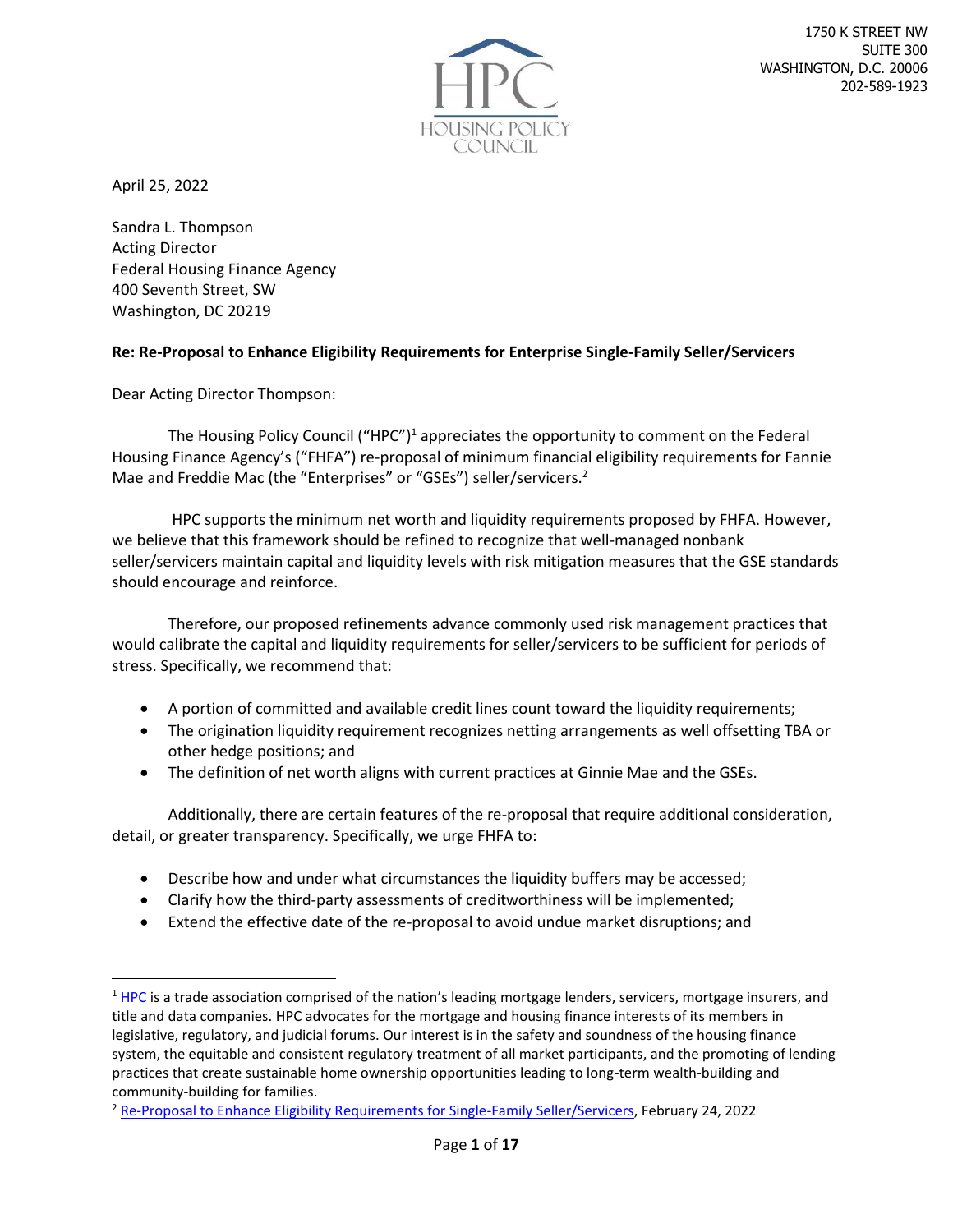

April 25, 2022

Sandra L. Thompson Acting Director Federal Housing Finance Agency 400 Seventh Street, SW Washington, DC 20219

### **Re: Re-Proposal to Enhance Eligibility Requirements for Enterprise Single-Family Seller/Servicers**

Dear Acting Director Thompson:

The Housing Policy Council ("HPC")<sup>1</sup> appreciates the opportunity to comment on the Federal Housing Finance Agency's ("FHFA") re-proposal of minimum financial eligibility requirements for Fannie Mae and Freddie Mac (the "Enterprises" or "GSEs") seller/servicers.<sup>2</sup>

HPC supports the minimum net worth and liquidity requirements proposed by FHFA. However, we believe that this framework should be refined to recognize that well-managed nonbank seller/servicers maintain capital and liquidity levels with risk mitigation measures that the GSE standards should encourage and reinforce.

Therefore, our proposed refinements advance commonly used risk management practices that would calibrate the capital and liquidity requirements for seller/servicers to be sufficient for periods of stress. Specifically, we recommend that:

- A portion of committed and available credit lines count toward the liquidity requirements;
- The origination liquidity requirement recognizes netting arrangements as well offsetting TBA or other hedge positions; and
- The definition of net worth aligns with current practices at Ginnie Mae and the GSEs.

Additionally, there are certain features of the re-proposal that require additional consideration, detail, or greater transparency. Specifically, we urge FHFA to:

- Describe how and under what circumstances the liquidity buffers may be accessed;
- Clarify how the third-party assessments of creditworthiness will be implemented;
- Extend the effective date of the re-proposal to avoid undue market disruptions; and

 $1$  [HPC](https://www.housingpolicycouncil.org/) is a trade association comprised of the nation's leading mortgage lenders, servicers, mortgage insurers, and title and data companies. HPC advocates for the mortgage and housing finance interests of its members in legislative, regulatory, and judicial forums. Our interest is in the safety and soundness of the housing finance system, the equitable and consistent regulatory treatment of all market participants, and the promoting of lending practices that create sustainable home ownership opportunities leading to long-term wealth-building and community-building for families.

<sup>2</sup> [Re-Proposal to Enhance Eligibility Requirements for Single-Family Seller/Servicers,](https://www.fhfa.gov/Media/PublicAffairs/Documents/SE2-Proposal-FAQ.pdf) February 24, 2022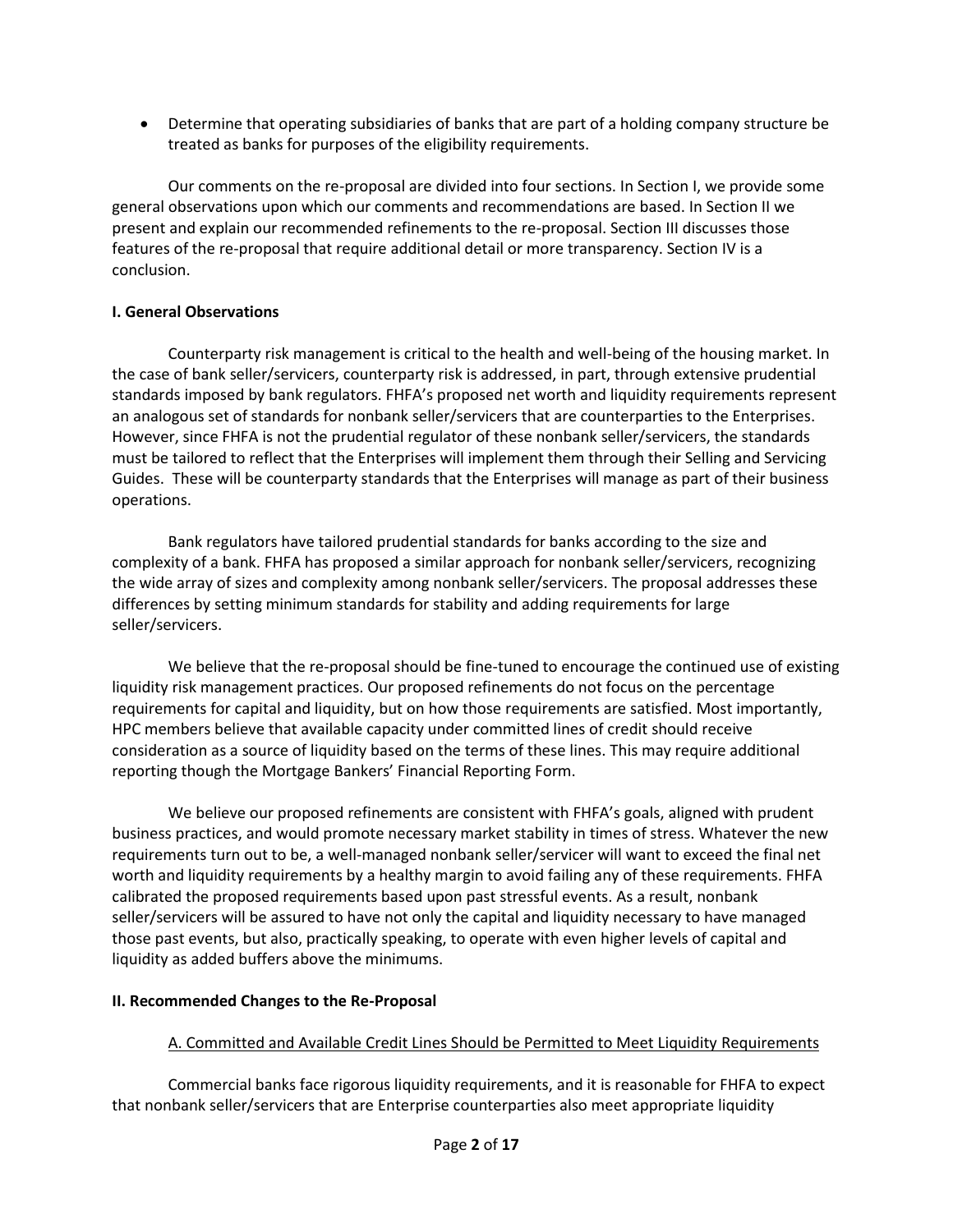• Determine that operating subsidiaries of banks that are part of a holding company structure be treated as banks for purposes of the eligibility requirements.

Our comments on the re-proposal are divided into four sections. In Section I, we provide some general observations upon which our comments and recommendations are based. In Section II we present and explain our recommended refinements to the re-proposal. Section III discusses those features of the re-proposal that require additional detail or more transparency. Section IV is a conclusion.

## **I. General Observations**

Counterparty risk management is critical to the health and well-being of the housing market. In the case of bank seller/servicers, counterparty risk is addressed, in part, through extensive prudential standards imposed by bank regulators. FHFA's proposed net worth and liquidity requirements represent an analogous set of standards for nonbank seller/servicers that are counterparties to the Enterprises. However, since FHFA is not the prudential regulator of these nonbank seller/servicers, the standards must be tailored to reflect that the Enterprises will implement them through their Selling and Servicing Guides. These will be counterparty standards that the Enterprises will manage as part of their business operations.

Bank regulators have tailored prudential standards for banks according to the size and complexity of a bank. FHFA has proposed a similar approach for nonbank seller/servicers, recognizing the wide array of sizes and complexity among nonbank seller/servicers. The proposal addresses these differences by setting minimum standards for stability and adding requirements for large seller/servicers.

We believe that the re-proposal should be fine-tuned to encourage the continued use of existing liquidity risk management practices. Our proposed refinements do not focus on the percentage requirements for capital and liquidity, but on how those requirements are satisfied. Most importantly, HPC members believe that available capacity under committed lines of credit should receive consideration as a source of liquidity based on the terms of these lines. This may require additional reporting though the Mortgage Bankers' Financial Reporting Form.

We believe our proposed refinements are consistent with FHFA's goals, aligned with prudent business practices, and would promote necessary market stability in times of stress. Whatever the new requirements turn out to be, a well-managed nonbank seller/servicer will want to exceed the final net worth and liquidity requirements by a healthy margin to avoid failing any of these requirements. FHFA calibrated the proposed requirements based upon past stressful events. As a result, nonbank seller/servicers will be assured to have not only the capital and liquidity necessary to have managed those past events, but also, practically speaking, to operate with even higher levels of capital and liquidity as added buffers above the minimums.

# **II. Recommended Changes to the Re-Proposal**

# A. Committed and Available Credit Lines Should be Permitted to Meet Liquidity Requirements

Commercial banks face rigorous liquidity requirements, and it is reasonable for FHFA to expect that nonbank seller/servicers that are Enterprise counterparties also meet appropriate liquidity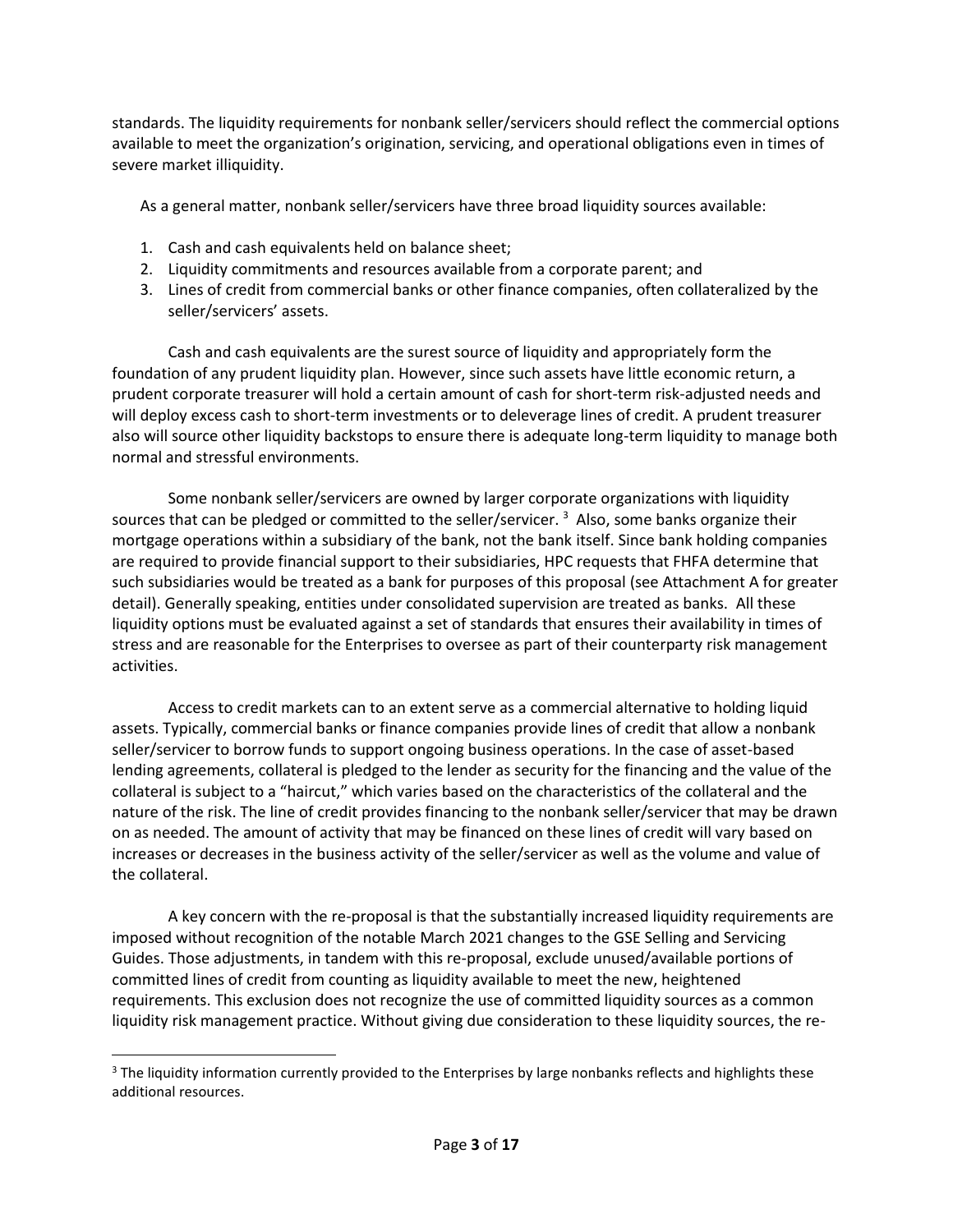standards. The liquidity requirements for nonbank seller/servicers should reflect the commercial options available to meet the organization's origination, servicing, and operational obligations even in times of severe market illiquidity.

As a general matter, nonbank seller/servicers have three broad liquidity sources available:

- 1. Cash and cash equivalents held on balance sheet;
- 2. Liquidity commitments and resources available from a corporate parent; and
- 3. Lines of credit from commercial banks or other finance companies, often collateralized by the seller/servicers' assets.

Cash and cash equivalents are the surest source of liquidity and appropriately form the foundation of any prudent liquidity plan. However, since such assets have little economic return, a prudent corporate treasurer will hold a certain amount of cash for short-term risk-adjusted needs and will deploy excess cash to short-term investments or to deleverage lines of credit. A prudent treasurer also will source other liquidity backstops to ensure there is adequate long-term liquidity to manage both normal and stressful environments.

Some nonbank seller/servicers are owned by larger corporate organizations with liquidity sources that can be pledged or committed to the seller/servicer. <sup>3</sup> Also, some banks organize their mortgage operations within a subsidiary of the bank, not the bank itself. Since bank holding companies are required to provide financial support to their subsidiaries, HPC requests that FHFA determine that such subsidiaries would be treated as a bank for purposes of this proposal (see Attachment A for greater detail). Generally speaking, entities under consolidated supervision are treated as banks. All these liquidity options must be evaluated against a set of standards that ensures their availability in times of stress and are reasonable for the Enterprises to oversee as part of their counterparty risk management activities.

Access to credit markets can to an extent serve as a commercial alternative to holding liquid assets. Typically, commercial banks or finance companies provide lines of credit that allow a nonbank seller/servicer to borrow funds to support ongoing business operations. In the case of asset-based lending agreements, collateral is pledged to the lender as security for the financing and the value of the collateral is subject to a "haircut," which varies based on the characteristics of the collateral and the nature of the risk. The line of credit provides financing to the nonbank seller/servicer that may be drawn on as needed. The amount of activity that may be financed on these lines of credit will vary based on increases or decreases in the business activity of the seller/servicer as well as the volume and value of the collateral.

A key concern with the re-proposal is that the substantially increased liquidity requirements are imposed without recognition of the notable March 2021 changes to the GSE Selling and Servicing Guides. Those adjustments, in tandem with this re-proposal, exclude unused/available portions of committed lines of credit from counting as liquidity available to meet the new, heightened requirements. This exclusion does not recognize the use of committed liquidity sources as a common liquidity risk management practice. Without giving due consideration to these liquidity sources, the re-

<sup>&</sup>lt;sup>3</sup> The liquidity information currently provided to the Enterprises by large nonbanks reflects and highlights these additional resources.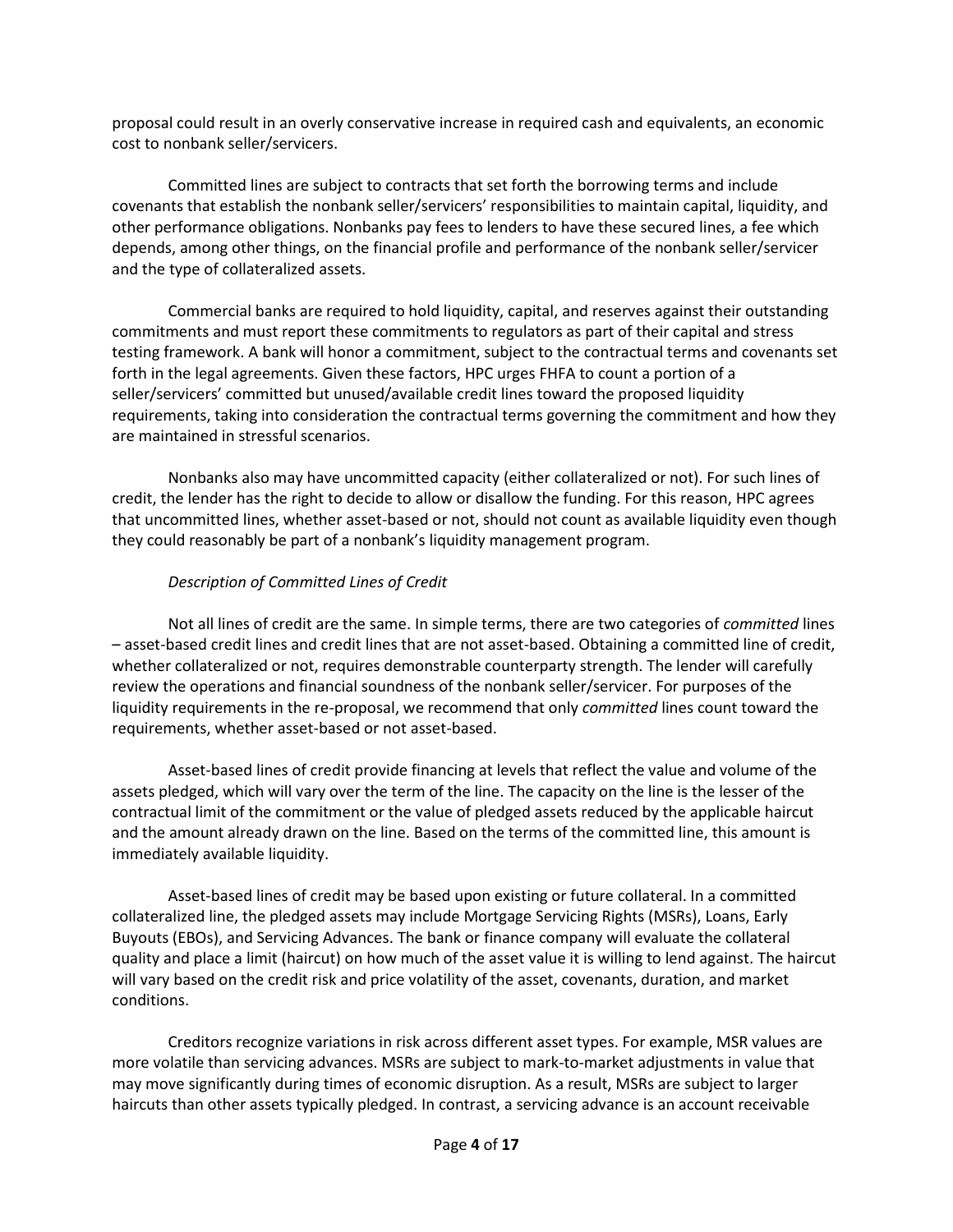proposal could result in an overly conservative increase in required cash and equivalents, an economic cost to nonbank seller/servicers.

Committed lines are subject to contracts that set forth the borrowing terms and include covenants that establish the nonbank seller/servicers' responsibilities to maintain capital, liquidity, and other performance obligations. Nonbanks pay fees to lenders to have these secured lines, a fee which depends, among other things, on the financial profile and performance of the nonbank seller/servicer and the type of collateralized assets.

Commercial banks are required to hold liquidity, capital, and reserves against their outstanding commitments and must report these commitments to regulators as part of their capital and stress testing framework. A bank will honor a commitment, subject to the contractual terms and covenants set forth in the legal agreements. Given these factors, HPC urges FHFA to count a portion of a seller/servicers' committed but unused/available credit lines toward the proposed liquidity requirements, taking into consideration the contractual terms governing the commitment and how they are maintained in stressful scenarios.

Nonbanks also may have uncommitted capacity (either collateralized or not). For such lines of credit, the lender has the right to decide to allow or disallow the funding. For this reason, HPC agrees that uncommitted lines, whether asset-based or not, should not count as available liquidity even though they could reasonably be part of a nonbank's liquidity management program.

# *Description of Committed Lines of Credit*

Not all lines of credit are the same. In simple terms, there are two categories of *committed* lines – asset-based credit lines and credit lines that are not asset-based. Obtaining a committed line of credit, whether collateralized or not, requires demonstrable counterparty strength. The lender will carefully review the operations and financial soundness of the nonbank seller/servicer. For purposes of the liquidity requirements in the re-proposal, we recommend that only *committed* lines count toward the requirements, whether asset-based or not asset-based.

Asset-based lines of credit provide financing at levels that reflect the value and volume of the assets pledged, which will vary over the term of the line. The capacity on the line is the lesser of the contractual limit of the commitment or the value of pledged assets reduced by the applicable haircut and the amount already drawn on the line. Based on the terms of the committed line, this amount is immediately available liquidity.

Asset-based lines of credit may be based upon existing or future collateral. In a committed collateralized line, the pledged assets may include Mortgage Servicing Rights (MSRs), Loans, Early Buyouts (EBOs), and Servicing Advances. The bank or finance company will evaluate the collateral quality and place a limit (haircut) on how much of the asset value it is willing to lend against. The haircut will vary based on the credit risk and price volatility of the asset, covenants, duration, and market conditions.

Creditors recognize variations in risk across different asset types. For example, MSR values are more volatile than servicing advances. MSRs are subject to mark-to-market adjustments in value that may move significantly during times of economic disruption. As a result, MSRs are subject to larger haircuts than other assets typically pledged. In contrast, a servicing advance is an account receivable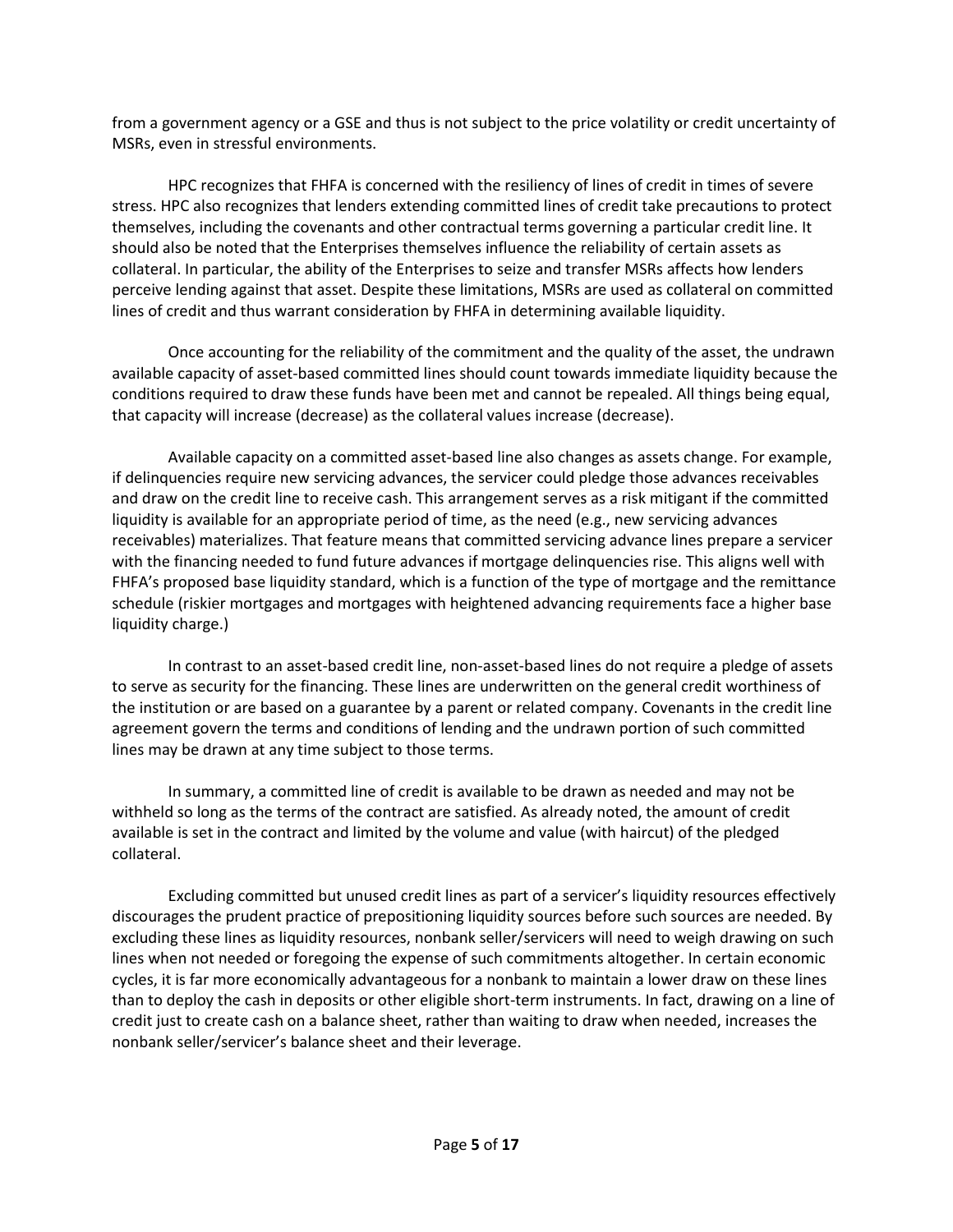from a government agency or a GSE and thus is not subject to the price volatility or credit uncertainty of MSRs, even in stressful environments.

HPC recognizes that FHFA is concerned with the resiliency of lines of credit in times of severe stress. HPC also recognizes that lenders extending committed lines of credit take precautions to protect themselves, including the covenants and other contractual terms governing a particular credit line. It should also be noted that the Enterprises themselves influence the reliability of certain assets as collateral. In particular, the ability of the Enterprises to seize and transfer MSRs affects how lenders perceive lending against that asset. Despite these limitations, MSRs are used as collateral on committed lines of credit and thus warrant consideration by FHFA in determining available liquidity.

Once accounting for the reliability of the commitment and the quality of the asset, the undrawn available capacity of asset-based committed lines should count towards immediate liquidity because the conditions required to draw these funds have been met and cannot be repealed. All things being equal, that capacity will increase (decrease) as the collateral values increase (decrease).

Available capacity on a committed asset-based line also changes as assets change. For example, if delinquencies require new servicing advances, the servicer could pledge those advances receivables and draw on the credit line to receive cash. This arrangement serves as a risk mitigant if the committed liquidity is available for an appropriate period of time, as the need (e.g., new servicing advances receivables) materializes. That feature means that committed servicing advance lines prepare a servicer with the financing needed to fund future advances if mortgage delinquencies rise. This aligns well with FHFA's proposed base liquidity standard, which is a function of the type of mortgage and the remittance schedule (riskier mortgages and mortgages with heightened advancing requirements face a higher base liquidity charge.)

In contrast to an asset-based credit line, non-asset-based lines do not require a pledge of assets to serve as security for the financing. These lines are underwritten on the general credit worthiness of the institution or are based on a guarantee by a parent or related company. Covenants in the credit line agreement govern the terms and conditions of lending and the undrawn portion of such committed lines may be drawn at any time subject to those terms.

In summary, a committed line of credit is available to be drawn as needed and may not be withheld so long as the terms of the contract are satisfied. As already noted, the amount of credit available is set in the contract and limited by the volume and value (with haircut) of the pledged collateral.

Excluding committed but unused credit lines as part of a servicer's liquidity resources effectively discourages the prudent practice of prepositioning liquidity sources before such sources are needed. By excluding these lines as liquidity resources, nonbank seller/servicers will need to weigh drawing on such lines when not needed or foregoing the expense of such commitments altogether. In certain economic cycles, it is far more economically advantageous for a nonbank to maintain a lower draw on these lines than to deploy the cash in deposits or other eligible short-term instruments. In fact, drawing on a line of credit just to create cash on a balance sheet, rather than waiting to draw when needed, increases the nonbank seller/servicer's balance sheet and their leverage.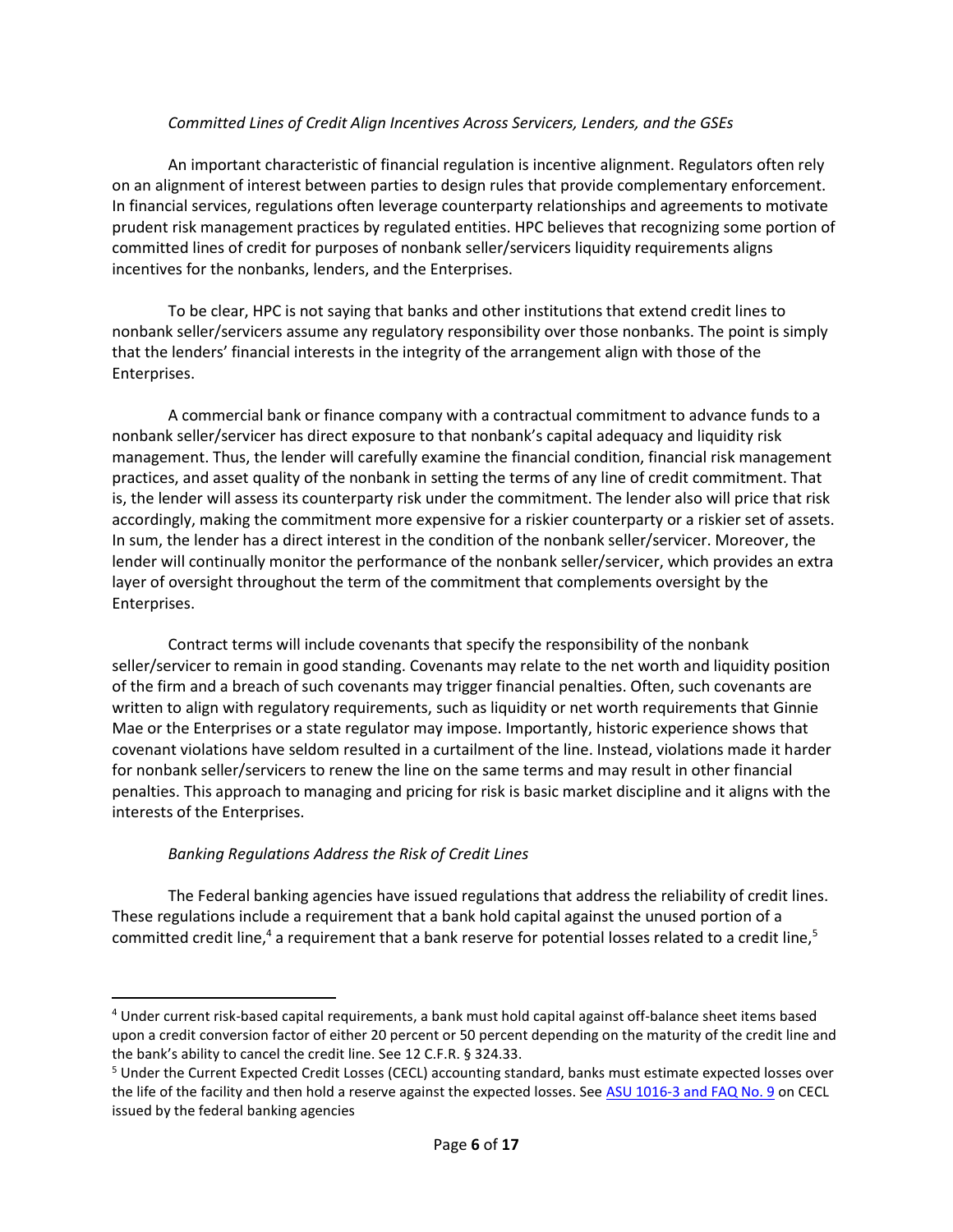#### *Committed Lines of Credit Align Incentives Across Servicers, Lenders, and the GSEs*

An important characteristic of financial regulation is incentive alignment. Regulators often rely on an alignment of interest between parties to design rules that provide complementary enforcement. In financial services, regulations often leverage counterparty relationships and agreements to motivate prudent risk management practices by regulated entities. HPC believes that recognizing some portion of committed lines of credit for purposes of nonbank seller/servicers liquidity requirements aligns incentives for the nonbanks, lenders, and the Enterprises.

To be clear, HPC is not saying that banks and other institutions that extend credit lines to nonbank seller/servicers assume any regulatory responsibility over those nonbanks. The point is simply that the lenders' financial interests in the integrity of the arrangement align with those of the Enterprises.

A commercial bank or finance company with a contractual commitment to advance funds to a nonbank seller/servicer has direct exposure to that nonbank's capital adequacy and liquidity risk management. Thus, the lender will carefully examine the financial condition, financial risk management practices, and asset quality of the nonbank in setting the terms of any line of credit commitment. That is, the lender will assess its counterparty risk under the commitment. The lender also will price that risk accordingly, making the commitment more expensive for a riskier counterparty or a riskier set of assets. In sum, the lender has a direct interest in the condition of the nonbank seller/servicer. Moreover, the lender will continually monitor the performance of the nonbank seller/servicer, which provides an extra layer of oversight throughout the term of the commitment that complements oversight by the Enterprises.

Contract terms will include covenants that specify the responsibility of the nonbank seller/servicer to remain in good standing. Covenants may relate to the net worth and liquidity position of the firm and a breach of such covenants may trigger financial penalties. Often, such covenants are written to align with regulatory requirements, such as liquidity or net worth requirements that Ginnie Mae or the Enterprises or a state regulator may impose. Importantly, historic experience shows that covenant violations have seldom resulted in a curtailment of the line. Instead, violations made it harder for nonbank seller/servicers to renew the line on the same terms and may result in other financial penalties. This approach to managing and pricing for risk is basic market discipline and it aligns with the interests of the Enterprises.

## *Banking Regulations Address the Risk of Credit Lines*

The Federal banking agencies have issued regulations that address the reliability of credit lines. These regulations include a requirement that a bank hold capital against the unused portion of a committed credit line,<sup>4</sup> a requirement that a bank reserve for potential losses related to a credit line,<sup>5</sup>

<sup>4</sup> Under current risk-based capital requirements, a bank must hold capital against off-balance sheet items based upon a credit conversion factor of either 20 percent or 50 percent depending on the maturity of the credit line and the bank's ability to cancel the credit line. See 12 C.F.R. § 324.33.

<sup>5</sup> Under the Current Expected Credit Losses (CECL) accounting standard, banks must estimate expected losses over the life of the facility and then hold a reserve against the expected losses. Se[e ASU 1016-3 and FAQ No. 9](https://www.federalreserve.gov/supervisionreg/topics/faq-new-accounting-standards-on-financial-instruments-credit-losses.htm) on CECL issued by the federal banking agencies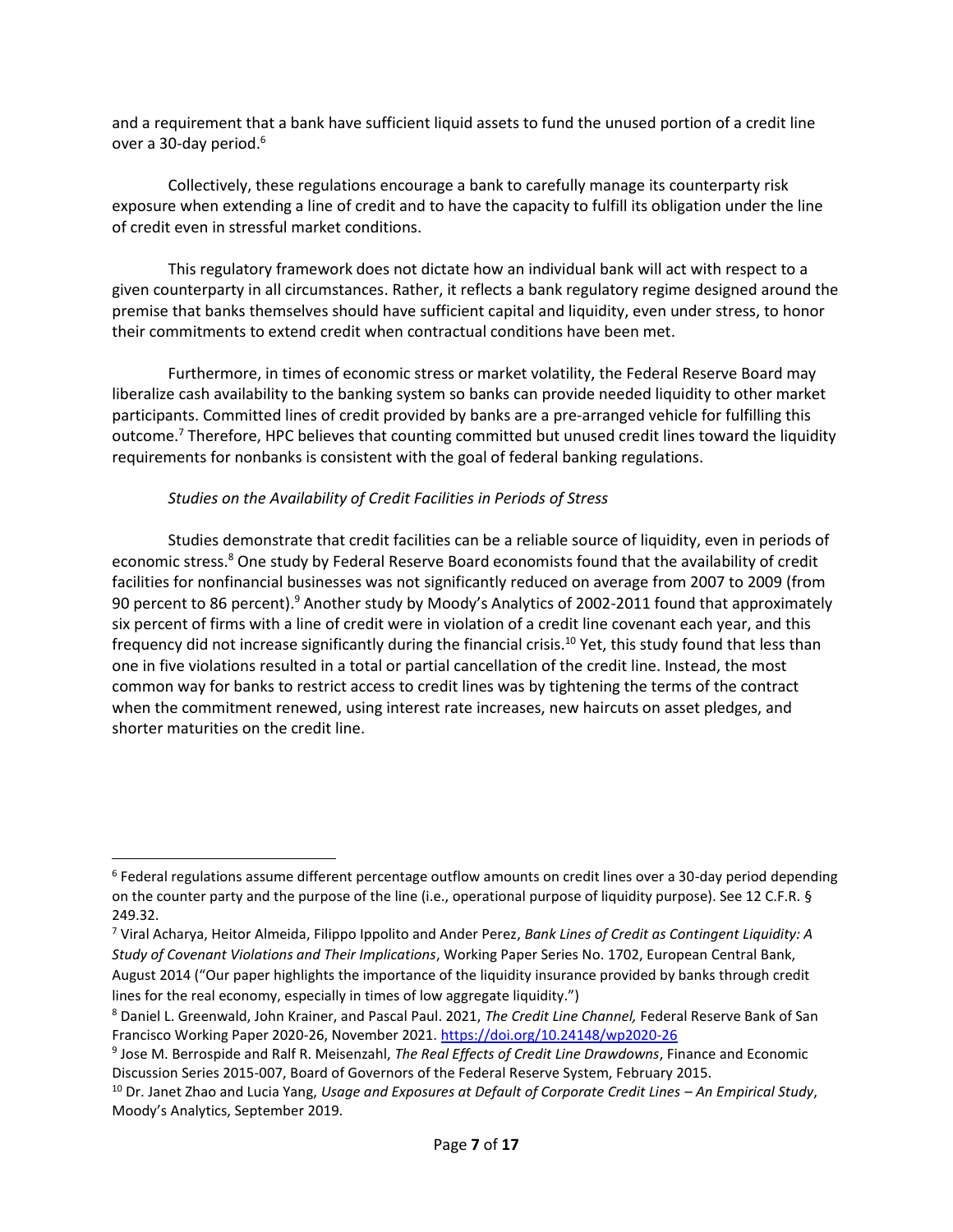and a requirement that a bank have sufficient liquid assets to fund the unused portion of a credit line over a 30-day period.<sup>6</sup>

Collectively, these regulations encourage a bank to carefully manage its counterparty risk exposure when extending a line of credit and to have the capacity to fulfill its obligation under the line of credit even in stressful market conditions.

This regulatory framework does not dictate how an individual bank will act with respect to a given counterparty in all circumstances. Rather, it reflects a bank regulatory regime designed around the premise that banks themselves should have sufficient capital and liquidity, even under stress, to honor their commitments to extend credit when contractual conditions have been met.

Furthermore, in times of economic stress or market volatility, the Federal Reserve Board may liberalize cash availability to the banking system so banks can provide needed liquidity to other market participants. Committed lines of credit provided by banks are a pre-arranged vehicle for fulfilling this outcome.<sup>7</sup> Therefore, HPC believes that counting committed but unused credit lines toward the liquidity requirements for nonbanks is consistent with the goal of federal banking regulations.

### *Studies on the Availability of Credit Facilities in Periods of Stress*

Studies demonstrate that credit facilities can be a reliable source of liquidity, even in periods of economic stress.<sup>8</sup> One study by Federal Reserve Board economists found that the availability of credit facilities for nonfinancial businesses was not significantly reduced on average from 2007 to 2009 (from 90 percent to 86 percent).<sup>9</sup> Another study by Moody's Analytics of 2002-2011 found that approximately six percent of firms with a line of credit were in violation of a credit line covenant each year, and this frequency did not increase significantly during the financial crisis.<sup>10</sup> Yet, this study found that less than one in five violations resulted in a total or partial cancellation of the credit line. Instead, the most common way for banks to restrict access to credit lines was by tightening the terms of the contract when the commitment renewed, using interest rate increases, new haircuts on asset pledges, and shorter maturities on the credit line.

<sup>&</sup>lt;sup>6</sup> Federal regulations assume different percentage outflow amounts on credit lines over a 30-day period depending on the counter party and the purpose of the line (i.e., operational purpose of liquidity purpose). See 12 C.F.R. § 249.32.

<sup>7</sup> Viral Acharya, Heitor Almeida, Filippo Ippolito and Ander Perez, *Bank Lines of Credit as Contingent Liquidity: A Study of Covenant Violations and Their Implications*, Working Paper Series No. 1702, European Central Bank, August 2014 ("Our paper highlights the importance of the liquidity insurance provided by banks through credit lines for the real economy, especially in times of low aggregate liquidity.")

<sup>8</sup> Daniel L. Greenwald, John Krainer, and Pascal Paul. 2021, *The Credit Line Channel,* Federal Reserve Bank of San Francisco Working Paper 2020-26, November 2021[. https://doi.org/10.24148/wp2020-26](https://doi.org/10.24148/wp2020-26)

<sup>9</sup> Jose M. Berrospide and Ralf R. Meisenzahl, *The Real Effects of Credit Line Drawdowns*, Finance and Economic Discussion Series 2015-007, Board of Governors of the Federal Reserve System, February 2015.

<sup>10</sup> Dr. Janet Zhao and Lucia Yang, *Usage and Exposures at Default of Corporate Credit Lines – An Empirical Study*, Moody's Analytics, September 2019.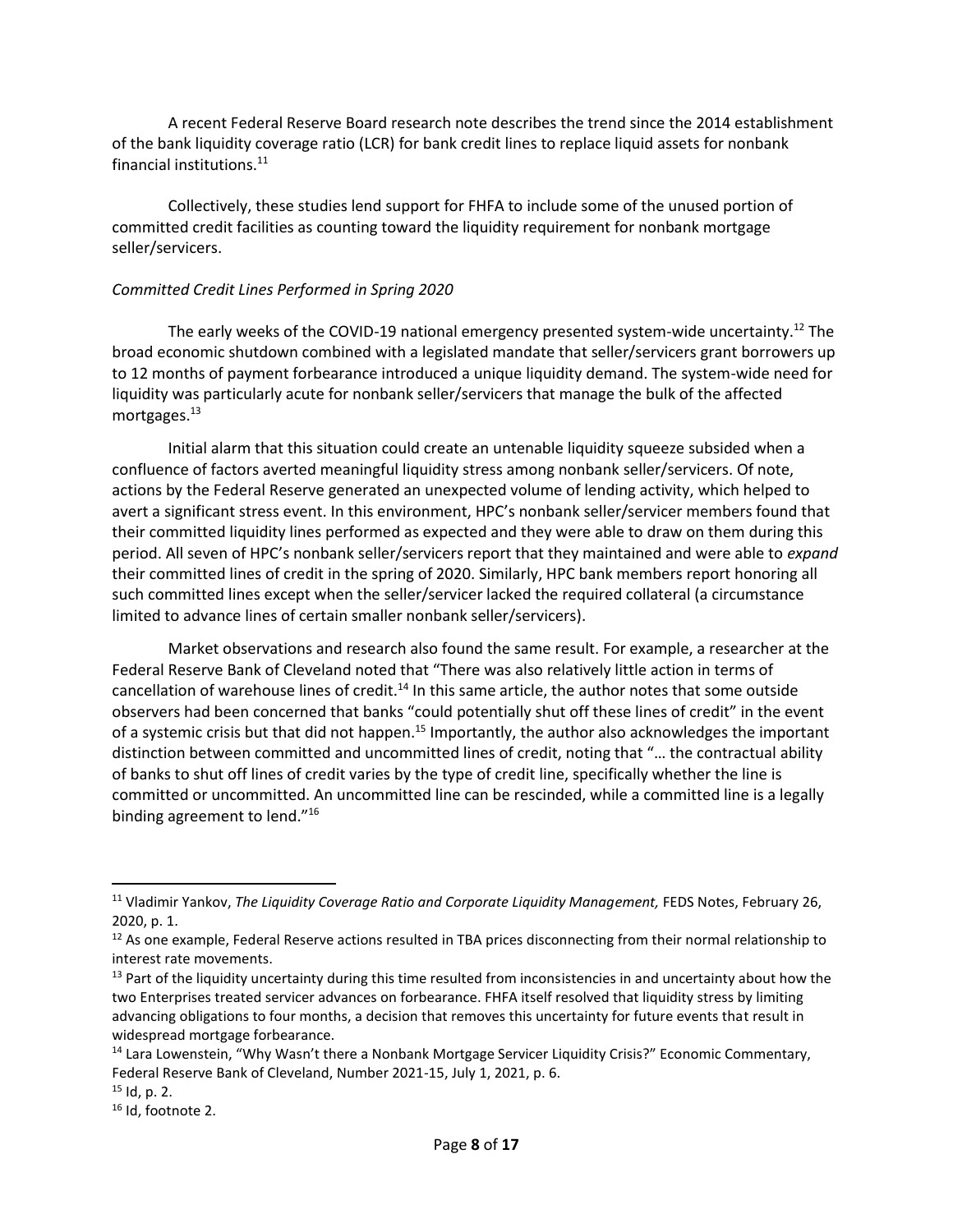A recent Federal Reserve Board research note describes the trend since the 2014 establishment of the bank liquidity coverage ratio (LCR) for bank credit lines to replace liquid assets for nonbank financial institutions.<sup>11</sup>

Collectively, these studies lend support for FHFA to include some of the unused portion of committed credit facilities as counting toward the liquidity requirement for nonbank mortgage seller/servicers.

#### *Committed Credit Lines Performed in Spring 2020*

The early weeks of the COVID-19 national emergency presented system-wide uncertainty.<sup>12</sup> The broad economic shutdown combined with a legislated mandate that seller/servicers grant borrowers up to 12 months of payment forbearance introduced a unique liquidity demand. The system-wide need for liquidity was particularly acute for nonbank seller/servicers that manage the bulk of the affected mortgages.<sup>13</sup>

Initial alarm that this situation could create an untenable liquidity squeeze subsided when a confluence of factors averted meaningful liquidity stress among nonbank seller/servicers. Of note, actions by the Federal Reserve generated an unexpected volume of lending activity, which helped to avert a significant stress event. In this environment, HPC's nonbank seller/servicer members found that their committed liquidity lines performed as expected and they were able to draw on them during this period. All seven of HPC's nonbank seller/servicers report that they maintained and were able to *expand* their committed lines of credit in the spring of 2020. Similarly, HPC bank members report honoring all such committed lines except when the seller/servicer lacked the required collateral (a circumstance limited to advance lines of certain smaller nonbank seller/servicers).

Market observations and research also found the same result. For example, a researcher at the Federal Reserve Bank of Cleveland noted that "There was also relatively little action in terms of cancellation of warehouse lines of credit.<sup>14</sup> In this same article, the author notes that some outside observers had been concerned that banks "could potentially shut off these lines of credit" in the event of a systemic crisis but that did not happen.<sup>15</sup> Importantly, the author also acknowledges the important distinction between committed and uncommitted lines of credit, noting that "… the contractual ability of banks to shut off lines of credit varies by the type of credit line, specifically whether the line is committed or uncommitted. An uncommitted line can be rescinded, while a committed line is a legally binding agreement to lend."<sup>16</sup>

<sup>11</sup> Vladimir Yankov, *The Liquidity Coverage Ratio and Corporate Liquidity Management,* FEDS Notes, February 26, 2020, p. 1.

<sup>&</sup>lt;sup>12</sup> As one example, Federal Reserve actions resulted in TBA prices disconnecting from their normal relationship to interest rate movements.

 $13$  Part of the liquidity uncertainty during this time resulted from inconsistencies in and uncertainty about how the two Enterprises treated servicer advances on forbearance. FHFA itself resolved that liquidity stress by limiting advancing obligations to four months, a decision that removes this uncertainty for future events that result in widespread mortgage forbearance.

<sup>&</sup>lt;sup>14</sup> Lara Lowenstein, "Why Wasn't there a Nonbank Mortgage Servicer Liquidity Crisis?" Economic Commentary, Federal Reserve Bank of Cleveland, Number 2021-15, July 1, 2021, p. 6.

 $15$  Id, p. 2.

<sup>&</sup>lt;sup>16</sup> Id, footnote 2.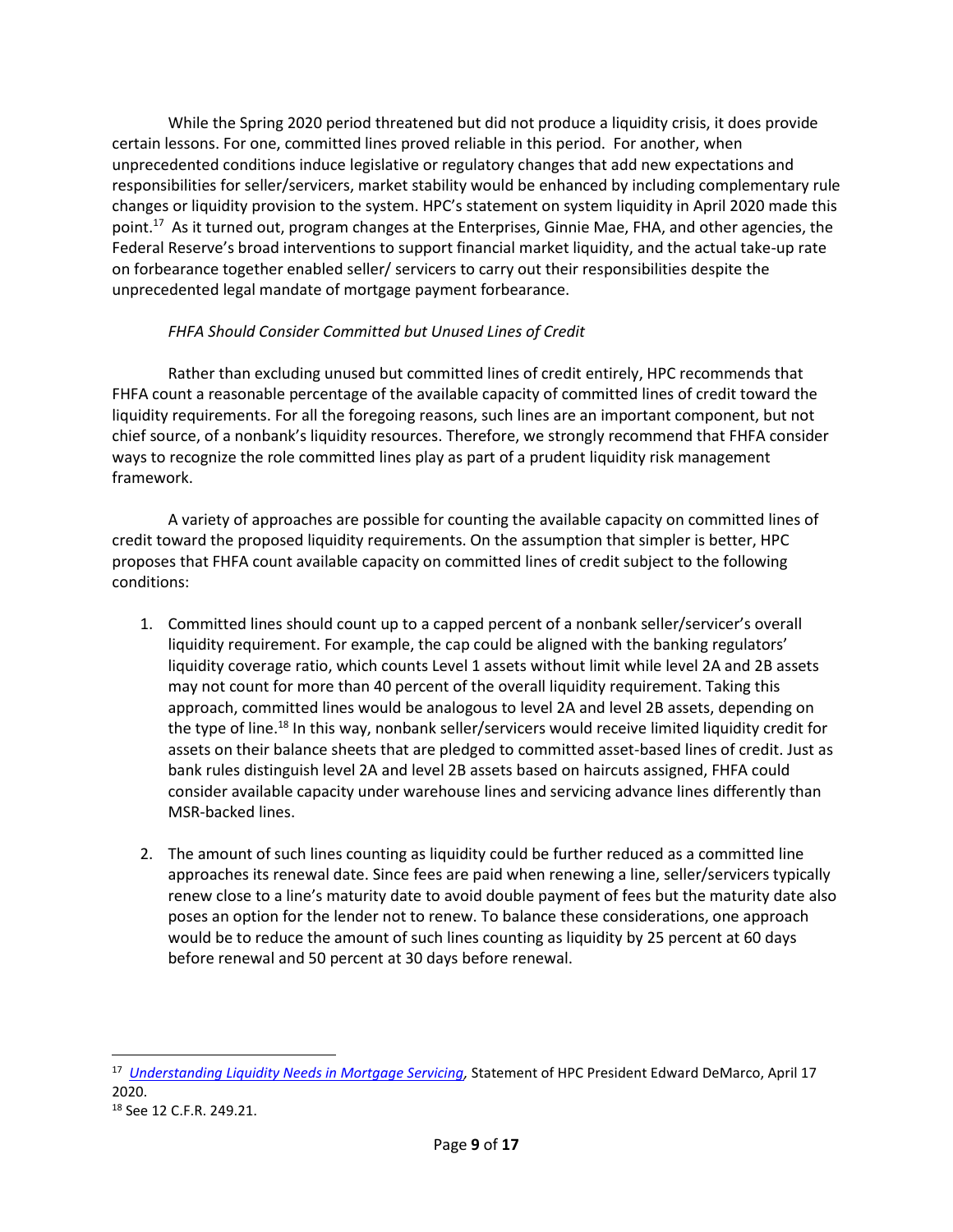While the Spring 2020 period threatened but did not produce a liquidity crisis, it does provide certain lessons. For one, committed lines proved reliable in this period. For another, when unprecedented conditions induce legislative or regulatory changes that add new expectations and responsibilities for seller/servicers, market stability would be enhanced by including complementary rule changes or liquidity provision to the system. HPC's statement on system liquidity in April 2020 made this point.<sup>17</sup> As it turned out, program changes at the Enterprises, Ginnie Mae, FHA, and other agencies, the Federal Reserve's broad interventions to support financial market liquidity, and the actual take-up rate on forbearance together enabled seller/ servicers to carry out their responsibilities despite the unprecedented legal mandate of mortgage payment forbearance.

## *FHFA Should Consider Committed but Unused Lines of Credit*

Rather than excluding unused but committed lines of credit entirely, HPC recommends that FHFA count a reasonable percentage of the available capacity of committed lines of credit toward the liquidity requirements. For all the foregoing reasons, such lines are an important component, but not chief source, of a nonbank's liquidity resources. Therefore, we strongly recommend that FHFA consider ways to recognize the role committed lines play as part of a prudent liquidity risk management framework.

A variety of approaches are possible for counting the available capacity on committed lines of credit toward the proposed liquidity requirements. On the assumption that simpler is better, HPC proposes that FHFA count available capacity on committed lines of credit subject to the following conditions:

- 1. Committed lines should count up to a capped percent of a nonbank seller/servicer's overall liquidity requirement. For example, the cap could be aligned with the banking regulators' liquidity coverage ratio, which counts Level 1 assets without limit while level 2A and 2B assets may not count for more than 40 percent of the overall liquidity requirement. Taking this approach, committed lines would be analogous to level 2A and level 2B assets, depending on the type of line.<sup>18</sup> In this way, nonbank seller/servicers would receive limited liquidity credit for assets on their balance sheets that are pledged to committed asset-based lines of credit. Just as bank rules distinguish level 2A and level 2B assets based on haircuts assigned, FHFA could consider available capacity under warehouse lines and servicing advance lines differently than MSR-backed lines.
- 2. The amount of such lines counting as liquidity could be further reduced as a committed line approaches its renewal date. Since fees are paid when renewing a line, seller/servicers typically renew close to a line's maturity date to avoid double payment of fees but the maturity date also poses an option for the lender not to renew. To balance these considerations, one approach would be to reduce the amount of such lines counting as liquidity by 25 percent at 60 days before renewal and 50 percent at 30 days before renewal.

<sup>17</sup> *[Understanding Liquidity Needs in Mortgage Servicing,](https://www.housingpolicycouncil.org/_files/ugd/d315af_a9255256f817428a9554020300ed0299.pdf)* Statement of HPC President Edward DeMarco, April 17 2020.

<sup>18</sup> See 12 C.F.R. 249.21.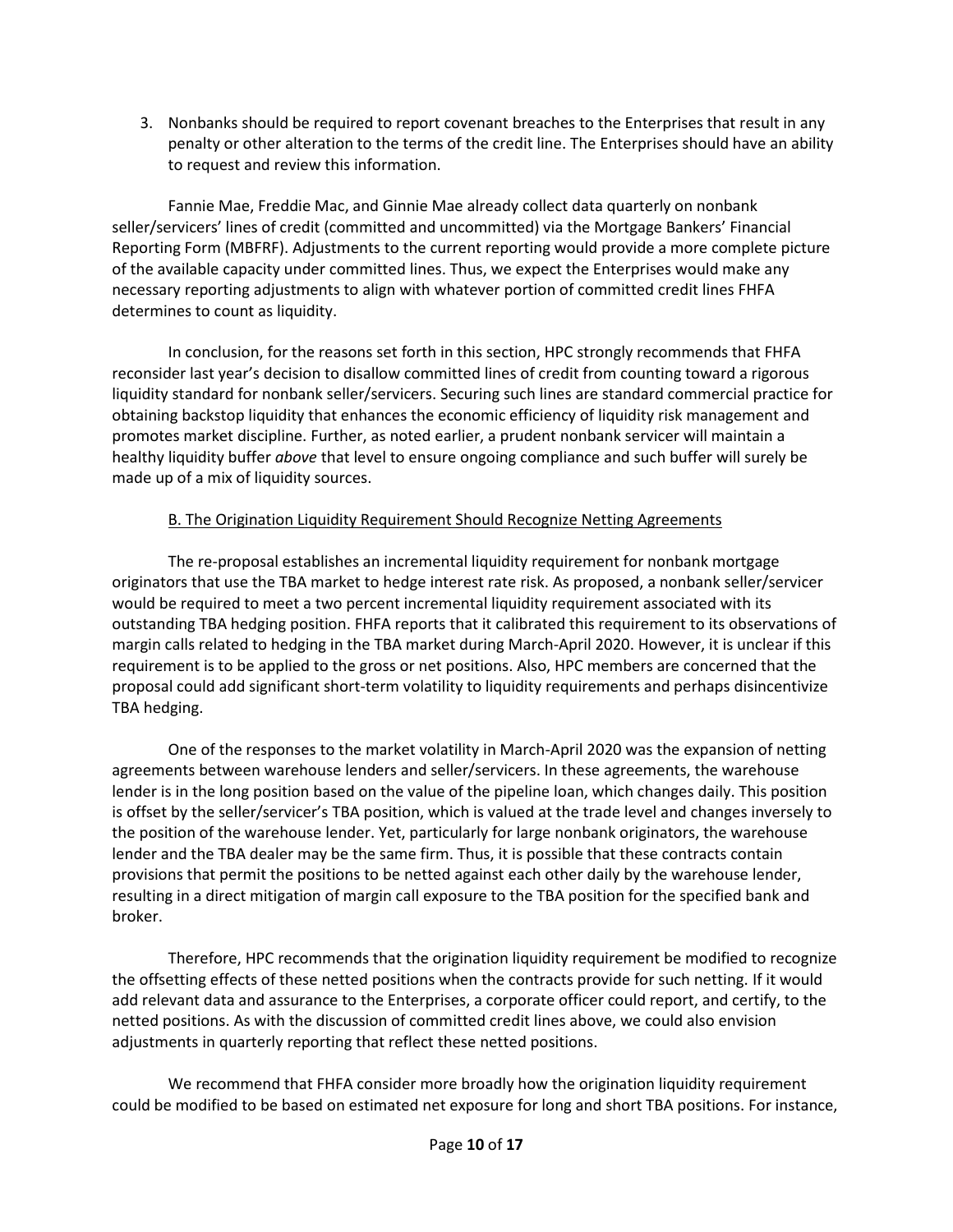3. Nonbanks should be required to report covenant breaches to the Enterprises that result in any penalty or other alteration to the terms of the credit line. The Enterprises should have an ability to request and review this information.

Fannie Mae, Freddie Mac, and Ginnie Mae already collect data quarterly on nonbank seller/servicers' lines of credit (committed and uncommitted) via the Mortgage Bankers' Financial Reporting Form (MBFRF). Adjustments to the current reporting would provide a more complete picture of the available capacity under committed lines. Thus, we expect the Enterprises would make any necessary reporting adjustments to align with whatever portion of committed credit lines FHFA determines to count as liquidity.

In conclusion, for the reasons set forth in this section, HPC strongly recommends that FHFA reconsider last year's decision to disallow committed lines of credit from counting toward a rigorous liquidity standard for nonbank seller/servicers. Securing such lines are standard commercial practice for obtaining backstop liquidity that enhances the economic efficiency of liquidity risk management and promotes market discipline. Further, as noted earlier, a prudent nonbank servicer will maintain a healthy liquidity buffer *above* that level to ensure ongoing compliance and such buffer will surely be made up of a mix of liquidity sources.

## B. The Origination Liquidity Requirement Should Recognize Netting Agreements

The re-proposal establishes an incremental liquidity requirement for nonbank mortgage originators that use the TBA market to hedge interest rate risk. As proposed, a nonbank seller/servicer would be required to meet a two percent incremental liquidity requirement associated with its outstanding TBA hedging position. FHFA reports that it calibrated this requirement to its observations of margin calls related to hedging in the TBA market during March-April 2020. However, it is unclear if this requirement is to be applied to the gross or net positions. Also, HPC members are concerned that the proposal could add significant short-term volatility to liquidity requirements and perhaps disincentivize TBA hedging.

One of the responses to the market volatility in March-April 2020 was the expansion of netting agreements between warehouse lenders and seller/servicers. In these agreements, the warehouse lender is in the long position based on the value of the pipeline loan, which changes daily. This position is offset by the seller/servicer's TBA position, which is valued at the trade level and changes inversely to the position of the warehouse lender. Yet, particularly for large nonbank originators, the warehouse lender and the TBA dealer may be the same firm. Thus, it is possible that these contracts contain provisions that permit the positions to be netted against each other daily by the warehouse lender, resulting in a direct mitigation of margin call exposure to the TBA position for the specified bank and broker.

Therefore, HPC recommends that the origination liquidity requirement be modified to recognize the offsetting effects of these netted positions when the contracts provide for such netting. If it would add relevant data and assurance to the Enterprises, a corporate officer could report, and certify, to the netted positions. As with the discussion of committed credit lines above, we could also envision adjustments in quarterly reporting that reflect these netted positions.

We recommend that FHFA consider more broadly how the origination liquidity requirement could be modified to be based on estimated net exposure for long and short TBA positions. For instance,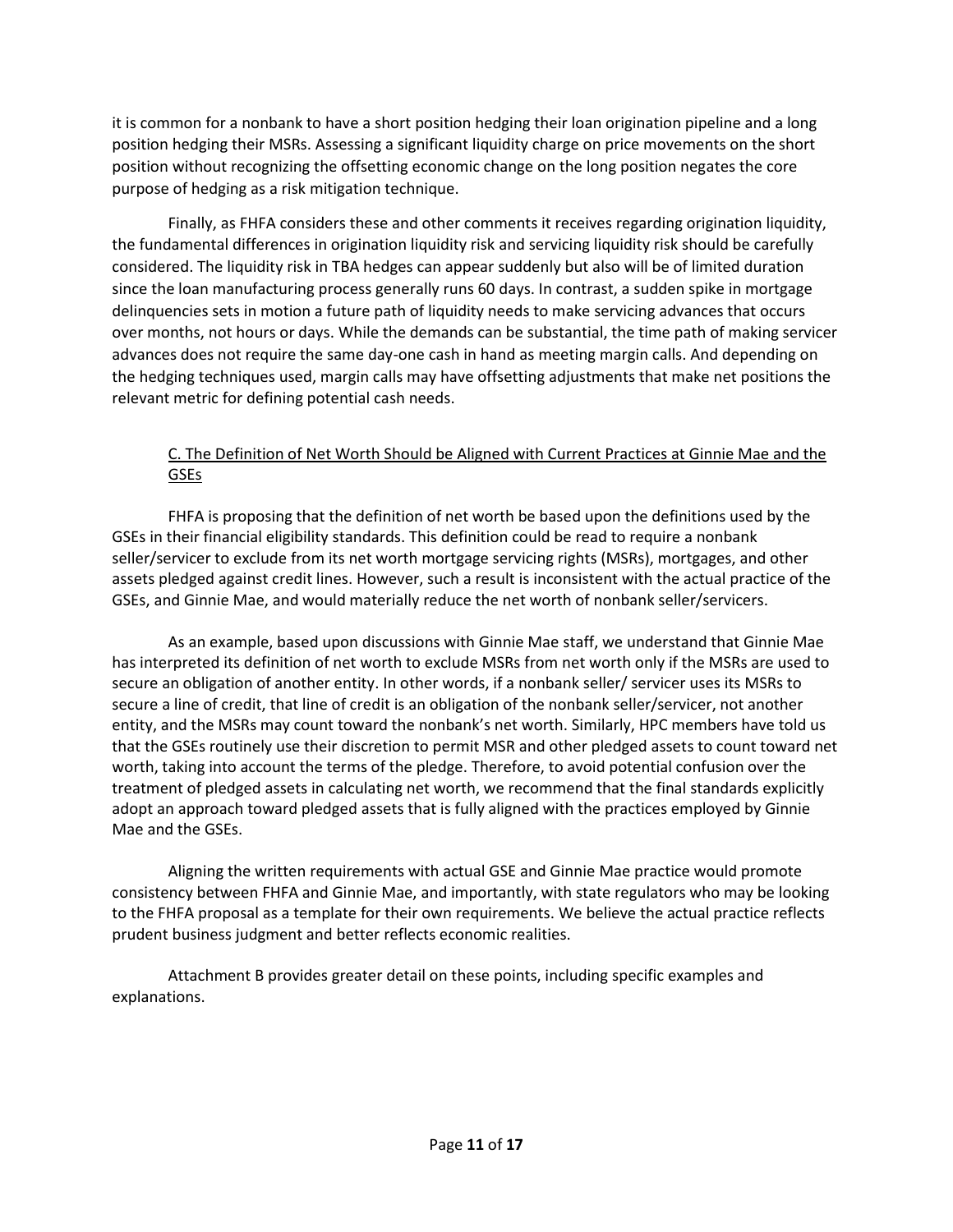it is common for a nonbank to have a short position hedging their loan origination pipeline and a long position hedging their MSRs. Assessing a significant liquidity charge on price movements on the short position without recognizing the offsetting economic change on the long position negates the core purpose of hedging as a risk mitigation technique.

Finally, as FHFA considers these and other comments it receives regarding origination liquidity, the fundamental differences in origination liquidity risk and servicing liquidity risk should be carefully considered. The liquidity risk in TBA hedges can appear suddenly but also will be of limited duration since the loan manufacturing process generally runs 60 days. In contrast, a sudden spike in mortgage delinquencies sets in motion a future path of liquidity needs to make servicing advances that occurs over months, not hours or days. While the demands can be substantial, the time path of making servicer advances does not require the same day-one cash in hand as meeting margin calls. And depending on the hedging techniques used, margin calls may have offsetting adjustments that make net positions the relevant metric for defining potential cash needs.

## C. The Definition of Net Worth Should be Aligned with Current Practices at Ginnie Mae and the GSEs

FHFA is proposing that the definition of net worth be based upon the definitions used by the GSEs in their financial eligibility standards. This definition could be read to require a nonbank seller/servicer to exclude from its net worth mortgage servicing rights (MSRs), mortgages, and other assets pledged against credit lines. However, such a result is inconsistent with the actual practice of the GSEs, and Ginnie Mae, and would materially reduce the net worth of nonbank seller/servicers.

As an example, based upon discussions with Ginnie Mae staff, we understand that Ginnie Mae has interpreted its definition of net worth to exclude MSRs from net worth only if the MSRs are used to secure an obligation of another entity. In other words, if a nonbank seller/ servicer uses its MSRs to secure a line of credit, that line of credit is an obligation of the nonbank seller/servicer, not another entity, and the MSRs may count toward the nonbank's net worth. Similarly, HPC members have told us that the GSEs routinely use their discretion to permit MSR and other pledged assets to count toward net worth, taking into account the terms of the pledge. Therefore, to avoid potential confusion over the treatment of pledged assets in calculating net worth, we recommend that the final standards explicitly adopt an approach toward pledged assets that is fully aligned with the practices employed by Ginnie Mae and the GSEs.

Aligning the written requirements with actual GSE and Ginnie Mae practice would promote consistency between FHFA and Ginnie Mae, and importantly, with state regulators who may be looking to the FHFA proposal as a template for their own requirements. We believe the actual practice reflects prudent business judgment and better reflects economic realities.

Attachment B provides greater detail on these points, including specific examples and explanations.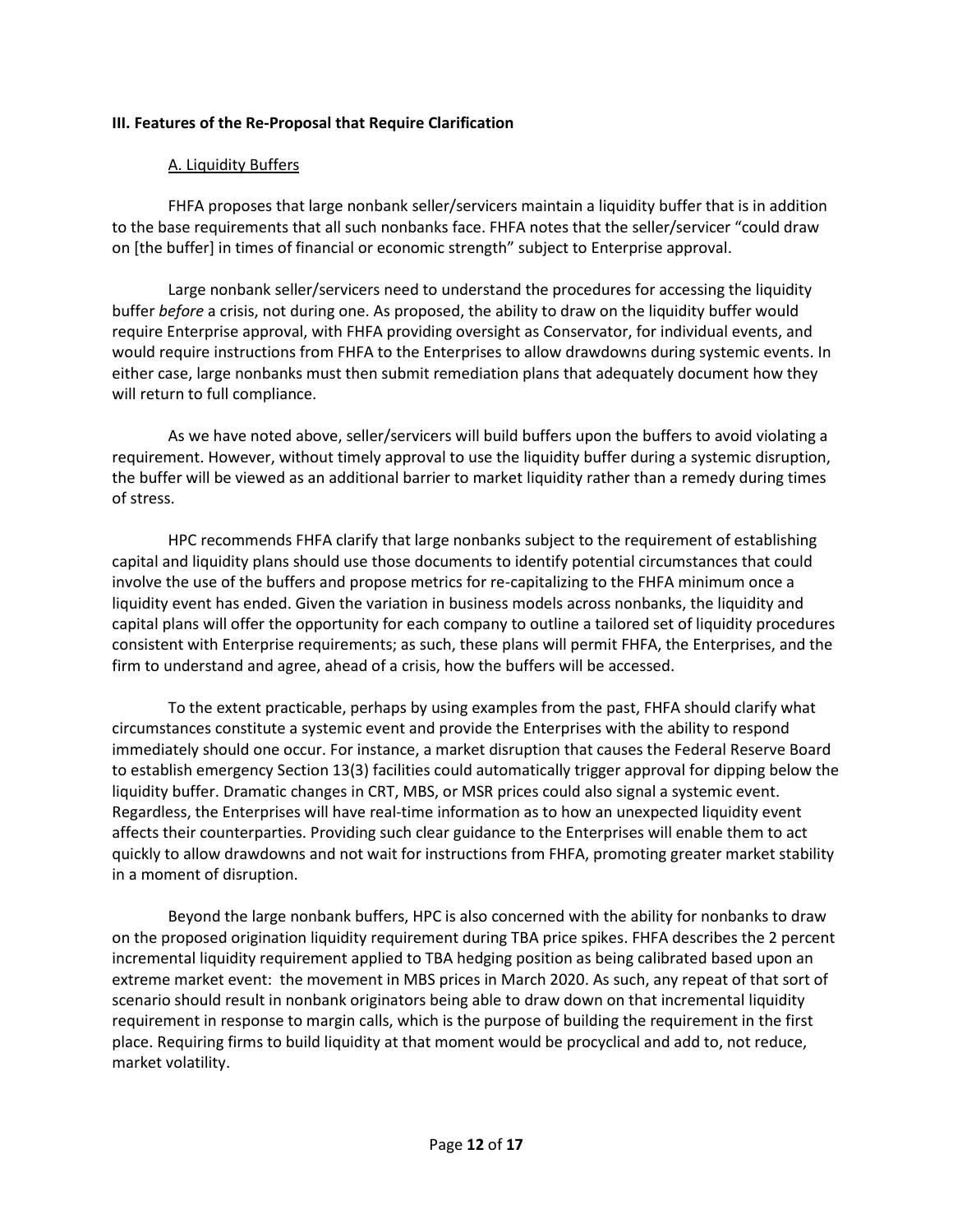### **III. Features of the Re-Proposal that Require Clarification**

### A. Liquidity Buffers

FHFA proposes that large nonbank seller/servicers maintain a liquidity buffer that is in addition to the base requirements that all such nonbanks face. FHFA notes that the seller/servicer "could draw on [the buffer] in times of financial or economic strength" subject to Enterprise approval.

Large nonbank seller/servicers need to understand the procedures for accessing the liquidity buffer *before* a crisis, not during one. As proposed, the ability to draw on the liquidity buffer would require Enterprise approval, with FHFA providing oversight as Conservator, for individual events, and would require instructions from FHFA to the Enterprises to allow drawdowns during systemic events. In either case, large nonbanks must then submit remediation plans that adequately document how they will return to full compliance.

As we have noted above, seller/servicers will build buffers upon the buffers to avoid violating a requirement. However, without timely approval to use the liquidity buffer during a systemic disruption, the buffer will be viewed as an additional barrier to market liquidity rather than a remedy during times of stress.

HPC recommends FHFA clarify that large nonbanks subject to the requirement of establishing capital and liquidity plans should use those documents to identify potential circumstances that could involve the use of the buffers and propose metrics for re-capitalizing to the FHFA minimum once a liquidity event has ended. Given the variation in business models across nonbanks, the liquidity and capital plans will offer the opportunity for each company to outline a tailored set of liquidity procedures consistent with Enterprise requirements; as such, these plans will permit FHFA, the Enterprises, and the firm to understand and agree, ahead of a crisis, how the buffers will be accessed.

To the extent practicable, perhaps by using examples from the past, FHFA should clarify what circumstances constitute a systemic event and provide the Enterprises with the ability to respond immediately should one occur. For instance, a market disruption that causes the Federal Reserve Board to establish emergency Section 13(3) facilities could automatically trigger approval for dipping below the liquidity buffer. Dramatic changes in CRT, MBS, or MSR prices could also signal a systemic event. Regardless, the Enterprises will have real-time information as to how an unexpected liquidity event affects their counterparties. Providing such clear guidance to the Enterprises will enable them to act quickly to allow drawdowns and not wait for instructions from FHFA, promoting greater market stability in a moment of disruption.

Beyond the large nonbank buffers, HPC is also concerned with the ability for nonbanks to draw on the proposed origination liquidity requirement during TBA price spikes. FHFA describes the 2 percent incremental liquidity requirement applied to TBA hedging position as being calibrated based upon an extreme market event: the movement in MBS prices in March 2020. As such, any repeat of that sort of scenario should result in nonbank originators being able to draw down on that incremental liquidity requirement in response to margin calls, which is the purpose of building the requirement in the first place. Requiring firms to build liquidity at that moment would be procyclical and add to, not reduce, market volatility.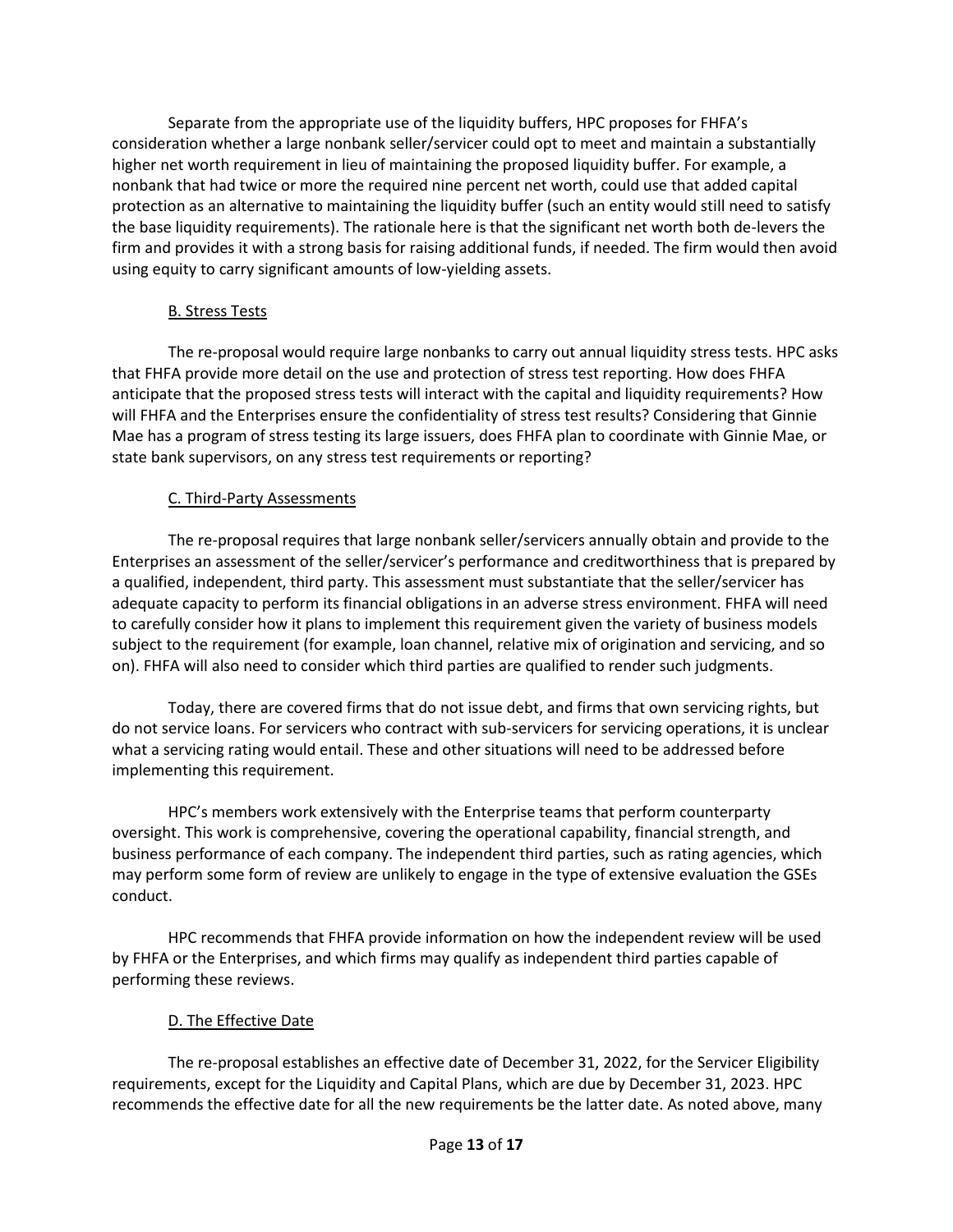Separate from the appropriate use of the liquidity buffers, HPC proposes for FHFA's consideration whether a large nonbank seller/servicer could opt to meet and maintain a substantially higher net worth requirement in lieu of maintaining the proposed liquidity buffer. For example, a nonbank that had twice or more the required nine percent net worth, could use that added capital protection as an alternative to maintaining the liquidity buffer (such an entity would still need to satisfy the base liquidity requirements). The rationale here is that the significant net worth both de-levers the firm and provides it with a strong basis for raising additional funds, if needed. The firm would then avoid using equity to carry significant amounts of low-yielding assets.

## B. Stress Tests

The re-proposal would require large nonbanks to carry out annual liquidity stress tests. HPC asks that FHFA provide more detail on the use and protection of stress test reporting. How does FHFA anticipate that the proposed stress tests will interact with the capital and liquidity requirements? How will FHFA and the Enterprises ensure the confidentiality of stress test results? Considering that Ginnie Mae has a program of stress testing its large issuers, does FHFA plan to coordinate with Ginnie Mae, or state bank supervisors, on any stress test requirements or reporting?

## C. Third-Party Assessments

The re-proposal requires that large nonbank seller/servicers annually obtain and provide to the Enterprises an assessment of the seller/servicer's performance and creditworthiness that is prepared by a qualified, independent, third party. This assessment must substantiate that the seller/servicer has adequate capacity to perform its financial obligations in an adverse stress environment. FHFA will need to carefully consider how it plans to implement this requirement given the variety of business models subject to the requirement (for example, loan channel, relative mix of origination and servicing, and so on). FHFA will also need to consider which third parties are qualified to render such judgments.

Today, there are covered firms that do not issue debt, and firms that own servicing rights, but do not service loans. For servicers who contract with sub-servicers for servicing operations, it is unclear what a servicing rating would entail. These and other situations will need to be addressed before implementing this requirement.

HPC's members work extensively with the Enterprise teams that perform counterparty oversight. This work is comprehensive, covering the operational capability, financial strength, and business performance of each company. The independent third parties, such as rating agencies, which may perform some form of review are unlikely to engage in the type of extensive evaluation the GSEs conduct.

HPC recommends that FHFA provide information on how the independent review will be used by FHFA or the Enterprises, and which firms may qualify as independent third parties capable of performing these reviews.

# D. The Effective Date

The re-proposal establishes an effective date of December 31, 2022, for the Servicer Eligibility requirements, except for the Liquidity and Capital Plans, which are due by December 31, 2023. HPC recommends the effective date for all the new requirements be the latter date. As noted above, many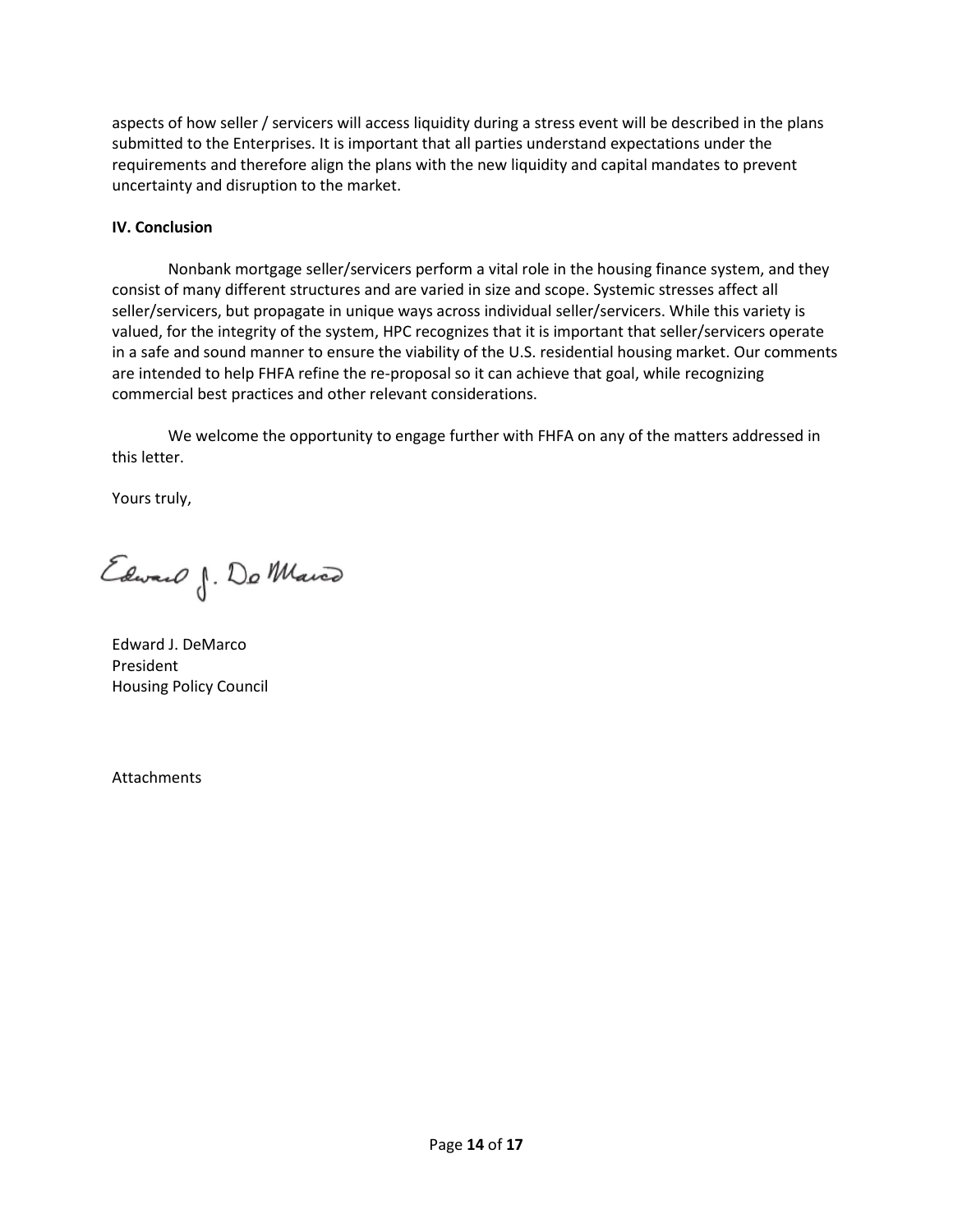aspects of how seller / servicers will access liquidity during a stress event will be described in the plans submitted to the Enterprises. It is important that all parties understand expectations under the requirements and therefore align the plans with the new liquidity and capital mandates to prevent uncertainty and disruption to the market.

### **IV. Conclusion**

Nonbank mortgage seller/servicers perform a vital role in the housing finance system, and they consist of many different structures and are varied in size and scope. Systemic stresses affect all seller/servicers, but propagate in unique ways across individual seller/servicers. While this variety is valued, for the integrity of the system, HPC recognizes that it is important that seller/servicers operate in a safe and sound manner to ensure the viability of the U.S. residential housing market. Our comments are intended to help FHFA refine the re-proposal so it can achieve that goal, while recognizing commercial best practices and other relevant considerations.

We welcome the opportunity to engage further with FHFA on any of the matters addressed in this letter.

Yours truly,

Edward J. Do Marco

Edward J. DeMarco President Housing Policy Council

Attachments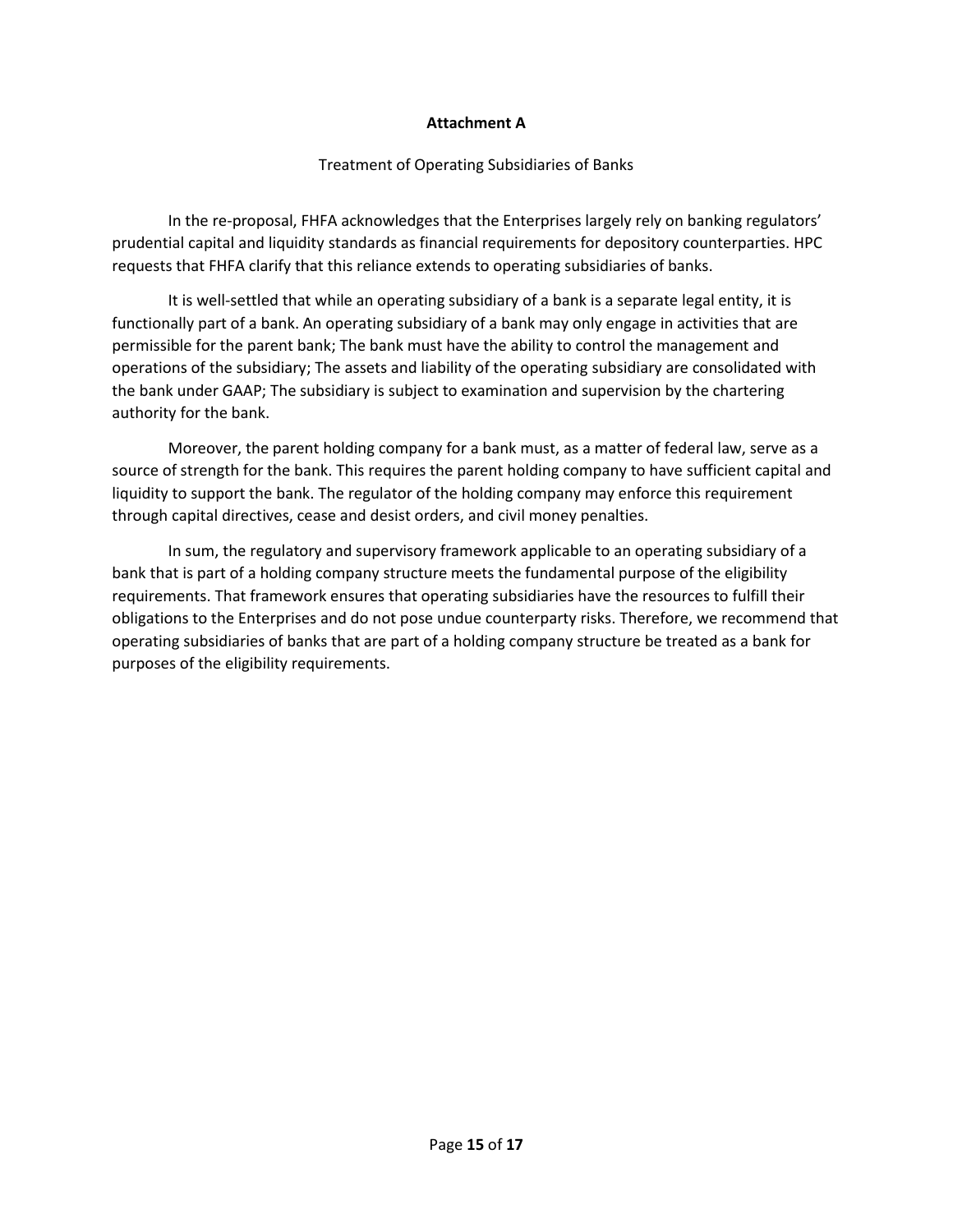#### **Attachment A**

#### Treatment of Operating Subsidiaries of Banks

In the re-proposal, FHFA acknowledges that the Enterprises largely rely on banking regulators' prudential capital and liquidity standards as financial requirements for depository counterparties. HPC requests that FHFA clarify that this reliance extends to operating subsidiaries of banks.

It is well-settled that while an operating subsidiary of a bank is a separate legal entity, it is functionally part of a bank. An operating subsidiary of a bank may only engage in activities that are permissible for the parent bank; The bank must have the ability to control the management and operations of the subsidiary; The assets and liability of the operating subsidiary are consolidated with the bank under GAAP; The subsidiary is subject to examination and supervision by the chartering authority for the bank.

Moreover, the parent holding company for a bank must, as a matter of federal law, serve as a source of strength for the bank. This requires the parent holding company to have sufficient capital and liquidity to support the bank. The regulator of the holding company may enforce this requirement through capital directives, cease and desist orders, and civil money penalties.

In sum, the regulatory and supervisory framework applicable to an operating subsidiary of a bank that is part of a holding company structure meets the fundamental purpose of the eligibility requirements. That framework ensures that operating subsidiaries have the resources to fulfill their obligations to the Enterprises and do not pose undue counterparty risks. Therefore, we recommend that operating subsidiaries of banks that are part of a holding company structure be treated as a bank for purposes of the eligibility requirements.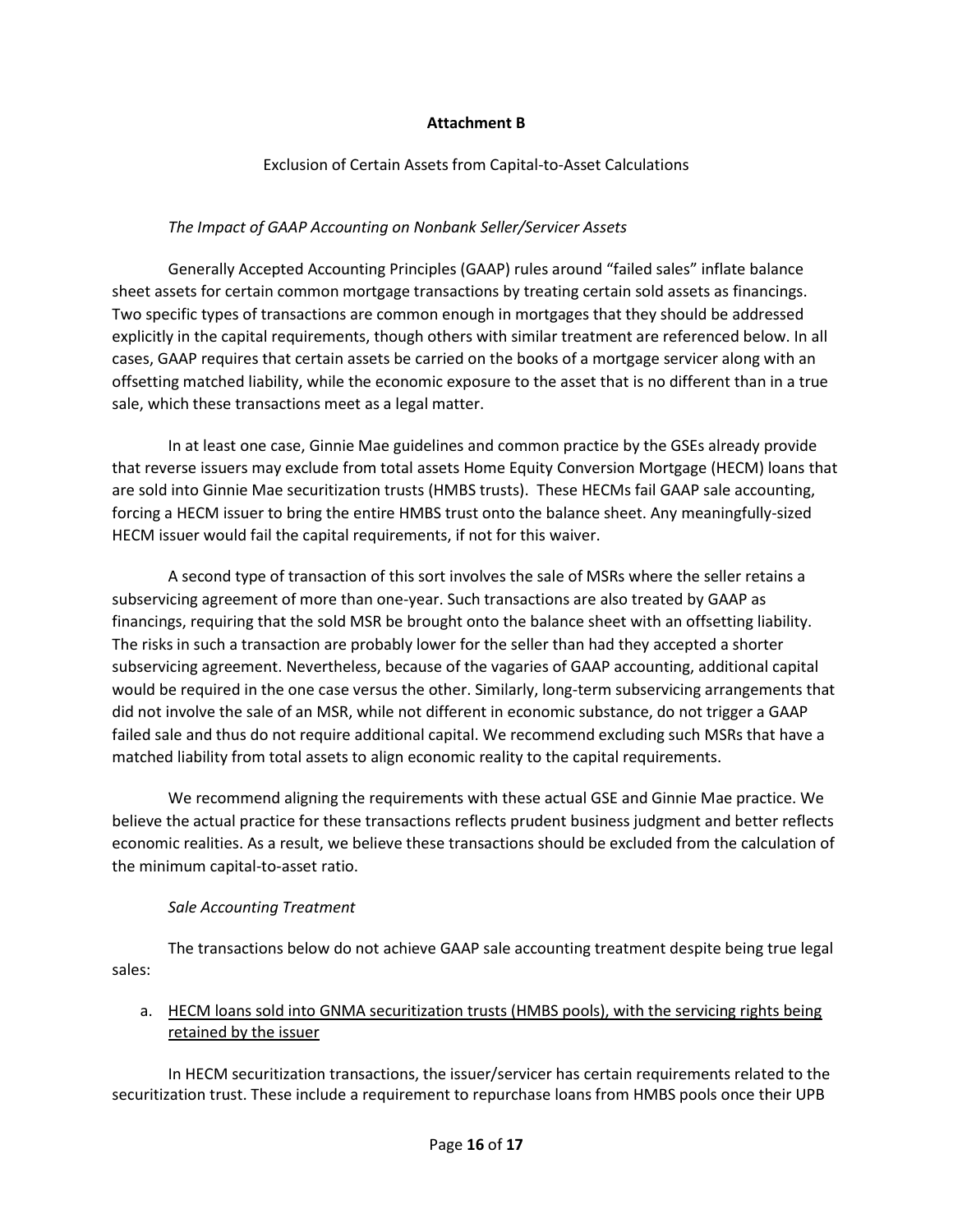#### **Attachment B**

### Exclusion of Certain Assets from Capital-to-Asset Calculations

### *The Impact of GAAP Accounting on Nonbank Seller/Servicer Assets*

Generally Accepted Accounting Principles (GAAP) rules around "failed sales" inflate balance sheet assets for certain common mortgage transactions by treating certain sold assets as financings. Two specific types of transactions are common enough in mortgages that they should be addressed explicitly in the capital requirements, though others with similar treatment are referenced below. In all cases, GAAP requires that certain assets be carried on the books of a mortgage servicer along with an offsetting matched liability, while the economic exposure to the asset that is no different than in a true sale, which these transactions meet as a legal matter.

In at least one case, Ginnie Mae guidelines and common practice by the GSEs already provide that reverse issuers may exclude from total assets Home Equity Conversion Mortgage (HECM) loans that are sold into Ginnie Mae securitization trusts (HMBS trusts). These HECMs fail GAAP sale accounting, forcing a HECM issuer to bring the entire HMBS trust onto the balance sheet. Any meaningfully-sized HECM issuer would fail the capital requirements, if not for this waiver.

A second type of transaction of this sort involves the sale of MSRs where the seller retains a subservicing agreement of more than one-year. Such transactions are also treated by GAAP as financings, requiring that the sold MSR be brought onto the balance sheet with an offsetting liability. The risks in such a transaction are probably lower for the seller than had they accepted a shorter subservicing agreement. Nevertheless, because of the vagaries of GAAP accounting, additional capital would be required in the one case versus the other. Similarly, long-term subservicing arrangements that did not involve the sale of an MSR, while not different in economic substance, do not trigger a GAAP failed sale and thus do not require additional capital. We recommend excluding such MSRs that have a matched liability from total assets to align economic reality to the capital requirements.

We recommend aligning the requirements with these actual GSE and Ginnie Mae practice. We believe the actual practice for these transactions reflects prudent business judgment and better reflects economic realities. As a result, we believe these transactions should be excluded from the calculation of the minimum capital-to-asset ratio.

#### *Sale Accounting Treatment*

The transactions below do not achieve GAAP sale accounting treatment despite being true legal sales:

## a. HECM loans sold into GNMA securitization trusts (HMBS pools), with the servicing rights being retained by the issuer

In HECM securitization transactions, the issuer/servicer has certain requirements related to the securitization trust. These include a requirement to repurchase loans from HMBS pools once their UPB